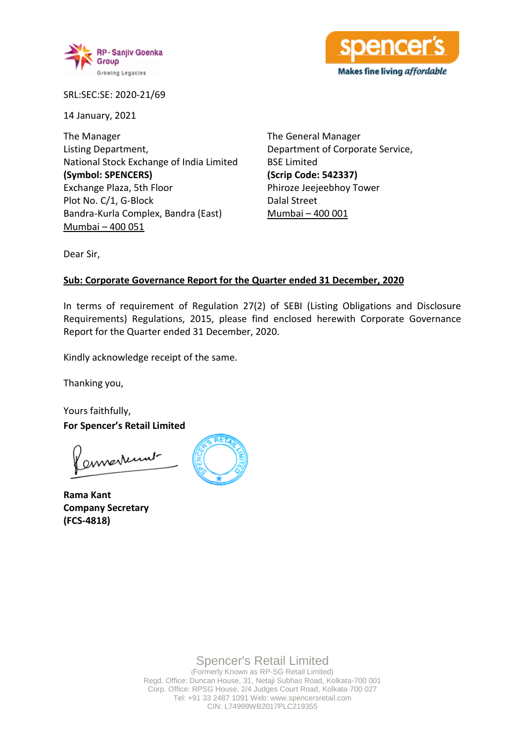



SRL:SEC:SE: 2020-21/69

14 January, 2021

The Manager Listing Department, National Stock Exchange of India Limited **(Symbol: SPENCERS)** Exchange Plaza, 5th Floor Plot No. C/1, G-Block Bandra-Kurla Complex, Bandra (East) Mumbai – 400 051

The General Manager Department of Corporate Service, BSE Limited **(Scrip Code: 542337)** Phiroze Jeejeebhoy Tower Dalal Street Mumbai – 400 001

Dear Sir,

## **Sub: Corporate Governance Report for the Quarter ended 31 December, 2020**

In terms of requirement of Regulation 27(2) of SEBI (Listing Obligations and Disclosure Requirements) Regulations, 2015, please find enclosed herewith Corporate Governance Report for the Quarter ended 31 December, 2020.

Kindly acknowledge receipt of the same.

Thanking you,

Yours faithfully, **For Spencer's Retail Limited**

envertunt

**Rama Kant Company Secretary (FCS-4818)**



Spencer's Retail Limited

(Formerly Known as RP-SG Retail Limited) Regd. Office: Duncan House, 31, Netaji Subhas Road, Kolkata-700 001 Corp. Office: RPSG House, 2/4 Judges Court Road, Kolkata-700 027 Tel: +91 33 2487 1091 Web: www.spencersretail.com CIN: L74999WB2017PLC219355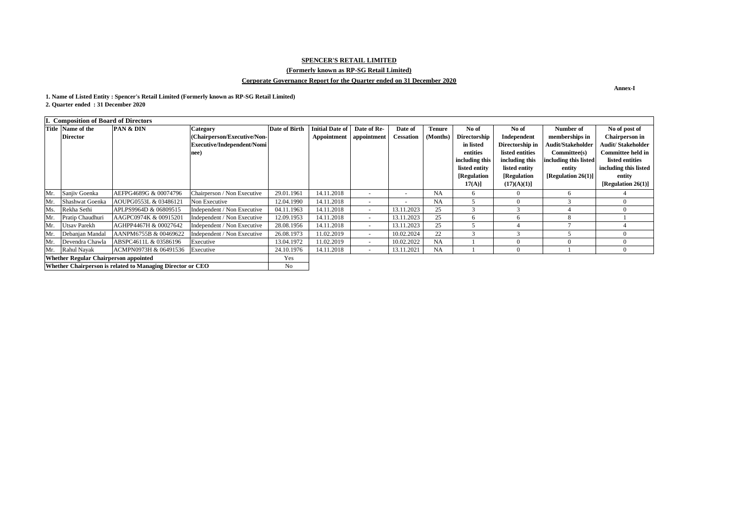## **Annex-I**

| I. Composition of Board of Directors                       |                          |                                 |                             |                      |                           |             |                          |               |                     |                 |                          |                           |
|------------------------------------------------------------|--------------------------|---------------------------------|-----------------------------|----------------------|---------------------------|-------------|--------------------------|---------------|---------------------|-----------------|--------------------------|---------------------------|
|                                                            | <b>Title Name of the</b> | <b>PAN &amp; DIN</b>            | <b>Category</b>             | <b>Date of Birth</b> | <b>Initial Date of  </b>  | Date of Re- | Date of                  | <b>Tenure</b> | No of               | No of           | Number of                | No of post of             |
|                                                            | <b>Director</b>          |                                 | (Chairperson/Executive/Non- |                      | Appointment   appointment |             | <b>Cessation</b>         | (Months)      | <b>Directorship</b> | Independent     | memberships in           | <b>Chairperson in</b>     |
|                                                            |                          |                                 | Executive/Independent/Nomi  |                      |                           |             |                          |               | in listed           | Directorship in | <b>Audit/Stakeholder</b> | <b>Audit/ Stakeholder</b> |
|                                                            |                          |                                 | nee)                        |                      |                           |             |                          |               | entities            | listed entities | Committee(s)             | <b>Committee held in</b>  |
|                                                            |                          |                                 |                             |                      |                           |             |                          |               | including this      | including this  | including this listed    | listed entities           |
|                                                            |                          |                                 |                             |                      |                           |             |                          |               | listed entity       | listed entity   | entity                   | including this listed     |
|                                                            |                          |                                 |                             |                      |                           |             |                          |               | [Regulation         | [Regulation     | [Regulation 26(1)]       | entity                    |
|                                                            |                          |                                 |                             |                      |                           |             |                          |               | $17(A)$ ]           | (17)(A)(1)]     |                          | [Regulation $26(1)$ ]     |
| Mr.                                                        | Sanjiv Goenka            | AEFPG4689G & 00074796           | Chairperson / Non Executive | 29.01.1961           | 14.11.2018                |             | $\overline{\phantom{0}}$ | <b>NA</b>     | 6                   |                 | 6                        |                           |
| Mr.                                                        | Shashwat Goenka          | AOUPG0553L & 03486121           | Non Executive               | 12.04.1990           | 14.11.2018                |             | $\overline{\phantom{0}}$ | <b>NA</b>     |                     |                 | 3                        |                           |
| Ms.                                                        | Rekha Sethi              | APLPS9964D & 06809515           | Independent / Non Executive | 04.11.1963           | 14.11.2018                | $\sim$      | 13.11.2023               | 25            | 3                   | $\mathcal{R}$   |                          |                           |
| Mr.                                                        | Pratip Chaudhuri         | AAGPC0974K & 00915201           | Independent / Non Executive | 12.09.1953           | 14.11.2018                | $\sim$      | 13.11.2023               | 25            | 6                   | <sub>0</sub>    | 8                        |                           |
| Mr.                                                        | <b>Utsav Parekh</b>      | AGHPP4467H & 00027642           | Independent / Non Executive | 28.08.1956           | 14.11.2018                | $\sim$      | 13.11.2023               | 25            |                     |                 |                          |                           |
| Mr.                                                        | Debanjan Mandal          | AANPM6755B & 00469622           | Independent / Non Executive | 26.08.1973           | 11.02.2019                | $\sim$      | 10.02.2024               | 22            | $\sim$              |                 |                          |                           |
| Mr.                                                        | Devendra Chawla          | ABSPC4611L & 03586196           | Executive                   | 13.04.1972           | 11.02.2019                | $\sim$      | 10.02.2022               | <b>NA</b>     |                     |                 |                          |                           |
| Mr.                                                        | Rahul Nayak              | ACMPN0973H & 06491536 Executive |                             | 24.10.1976           | 14.11.2018                | $\sim$      | 13.11.2021               | <b>NA</b>     |                     |                 |                          |                           |
| <b>Whether Regular Chairperson appointed</b>               |                          |                                 |                             | Yes                  |                           |             |                          |               |                     |                 |                          |                           |
| Whether Chairperson is related to Managing Director or CEO |                          |                                 | No                          |                      |                           |             |                          |               |                     |                 |                          |                           |

# **SPENCER'S RETAIL LIMITED**

# **(Formerly known as RP-SG Retail Limited)**

# **Corporate Governance Report for the Quarter ended on 31 December 2020**

**1. Name of Listed Entity : Spencer's Retail Limited (Formerly known as RP-SG Retail Limited)**

**2. Quarter ended : 31 December 2020**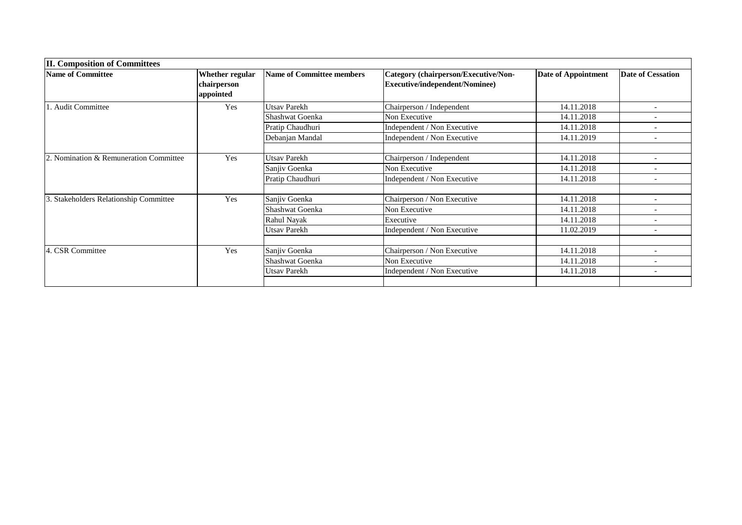| <b>II. Composition of Committees</b>   |                                                    |                                  |                                                                        |                            |                          |  |  |
|----------------------------------------|----------------------------------------------------|----------------------------------|------------------------------------------------------------------------|----------------------------|--------------------------|--|--|
| <b>Name of Committee</b>               | <b>Whether regular</b><br>chairperson<br>appointed | <b>Name of Committee members</b> | Category (chairperson/Executive/Non-<br>Executive/independent/Nominee) | <b>Date of Appointment</b> | <b>Date of Cessation</b> |  |  |
| . Audit Committee                      | Yes                                                | <b>Utsav Parekh</b>              | Chairperson / Independent                                              | 14.11.2018                 |                          |  |  |
|                                        |                                                    | Shashwat Goenka                  | Non Executive                                                          | 14.11.2018                 |                          |  |  |
|                                        |                                                    | Pratip Chaudhuri                 | Independent / Non Executive                                            | 14.11.2018                 |                          |  |  |
|                                        |                                                    | Debanjan Mandal                  | Independent / Non Executive                                            | 14.11.2019                 | $\overline{\phantom{a}}$ |  |  |
| 2. Nomination & Remuneration Committee | Yes                                                | <b>Utsav Parekh</b>              | Chairperson / Independent                                              | 14.11.2018                 | $\overline{\phantom{a}}$ |  |  |
|                                        |                                                    | Sanjiv Goenka                    | Non Executive                                                          | 14.11.2018                 |                          |  |  |
|                                        |                                                    | Pratip Chaudhuri                 | Independent / Non Executive                                            | 14.11.2018                 |                          |  |  |
| 3. Stakeholders Relationship Committee | Yes                                                | Sanjiv Goenka                    | Chairperson / Non Executive                                            | 14.11.2018                 | $\overline{\phantom{a}}$ |  |  |
|                                        |                                                    | Shashwat Goenka                  | Non Executive                                                          | 14.11.2018                 |                          |  |  |
|                                        |                                                    | Rahul Nayak                      | Executive                                                              | 14.11.2018                 | $\overline{\phantom{0}}$ |  |  |
|                                        |                                                    | <b>Utsav Parekh</b>              | Independent / Non Executive                                            | 11.02.2019                 | $\overline{\phantom{a}}$ |  |  |
|                                        |                                                    |                                  |                                                                        |                            |                          |  |  |
| 4. CSR Committee                       | Yes                                                | Sanjiv Goenka                    | Chairperson / Non Executive                                            | 14.11.2018                 |                          |  |  |
|                                        |                                                    | <b>Shashwat Goenka</b>           | Non Executive                                                          | 14.11.2018                 |                          |  |  |
|                                        |                                                    | <b>Utsav Parekh</b>              | Independent / Non Executive                                            | 14.11.2018                 | $\overline{\phantom{a}}$ |  |  |
|                                        |                                                    |                                  |                                                                        |                            |                          |  |  |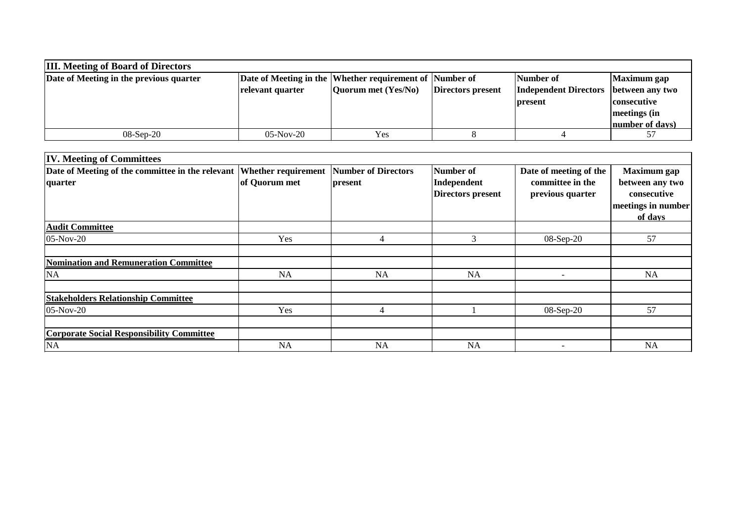| <b>III.</b> Meeting of Board of Directors |                  |                                                         |                   |                                         |                    |  |  |  |
|-------------------------------------------|------------------|---------------------------------------------------------|-------------------|-----------------------------------------|--------------------|--|--|--|
| Date of Meeting in the previous quarter   |                  | Date of Meeting in the Whether requirement of Number of |                   | Number of                               | Maximum gap        |  |  |  |
|                                           | relevant quarter | Quorum met (Yes/No)                                     | Directors present | Independent Directors   between any two |                    |  |  |  |
|                                           |                  |                                                         |                   | present                                 | <b>consecutive</b> |  |  |  |
|                                           |                  |                                                         |                   |                                         | meetings (in       |  |  |  |
|                                           |                  |                                                         |                   |                                         | number of days)    |  |  |  |
| $08-Sep-20$                               | $05-Nov-20$      | Yes                                                     |                   |                                         |                    |  |  |  |

| Date of Meeting of the committee in the relevant Whether requirement<br>quarter | of Quorum met | <b>Number of Directors</b><br>present | <b>Number of</b><br>Independent<br>Directors present | Date of meeting of the<br>committee in the<br>previous quarter | <b>Maximum</b> gap<br>between any two<br>consecutive<br>meetings in number |
|---------------------------------------------------------------------------------|---------------|---------------------------------------|------------------------------------------------------|----------------------------------------------------------------|----------------------------------------------------------------------------|
|                                                                                 |               |                                       |                                                      |                                                                | of days                                                                    |
| <b>Audit Committee</b>                                                          |               |                                       |                                                      |                                                                |                                                                            |
| $05-Nov-20$                                                                     | Yes           | 4                                     | 3                                                    | 08-Sep-20                                                      | 57                                                                         |
| <b>Nomination and Remuneration Committee</b>                                    |               |                                       |                                                      |                                                                |                                                                            |
| NA                                                                              | NA            | <b>NA</b>                             | NA                                                   | $\overline{\phantom{0}}$                                       | <b>NA</b>                                                                  |
| <b>Stakeholders Relationship Committee</b>                                      |               |                                       |                                                      |                                                                |                                                                            |
| $05-Nov-20$                                                                     | Yes           | 4                                     |                                                      | 08-Sep-20                                                      | 57                                                                         |
| <b>Corporate Social Responsibility Committee</b>                                |               |                                       |                                                      |                                                                |                                                                            |
| NA                                                                              | <b>NA</b>     | <b>NA</b>                             | <b>NA</b>                                            | $\overline{\phantom{0}}$                                       | <b>NA</b>                                                                  |